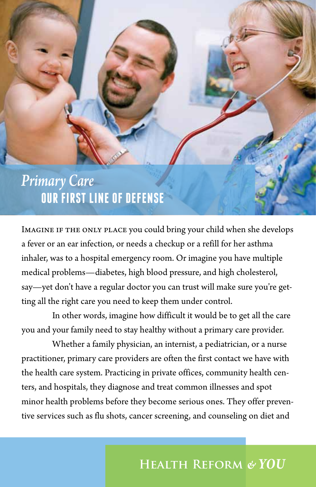# *Primary Care* **OUR FIRST LINE OF DEFENSE**

Imagine if the only place you could bring your child when she develops a fever or an ear infection, or needs a checkup or a refill for her asthma inhaler, was to a hospital emergency room. Or imagine you have multiple medical problems—diabetes, high blood pressure, and high cholesterol, say—yet don't have a regular doctor you can trust will make sure you're getting all the right care you need to keep them under control.

 In other words, imagine how difficult it would be to get all the care you and your family need to stay healthy without a primary care provider.

 Whether a family physician, an internist, a pediatrician, or a nurse practitioner, primary care providers are often the first contact we have with the health care system. Practicing in private offices, community health centers, and hospitals, they diagnose and treat common illnesses and spot minor health problems before they become serious ones. They offer preventive services such as flu shots, cancer screening, and counseling on diet and

## **Health Reform** *& YOU*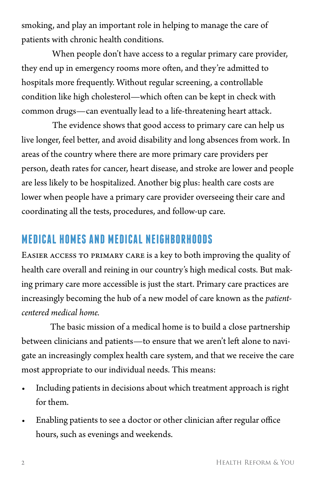smoking, and play an important role in helping to manage the care of patients with chronic health conditions.

 When people don't have access to a regular primary care provider, they end up in emergency rooms more often, and they're admitted to hospitals more frequently. Without regular screening, a controllable condition like high cholesterol—which often can be kept in check with common drugs—can eventually lead to a life-threatening heart attack.

 The evidence shows that good access to primary care can help us live longer, feel better, and avoid disability and long absences from work. In areas of the country where there are more primary care providers per person, death rates for cancer, heart disease, and stroke are lower and people are less likely to be hospitalized. Another big plus: health care costs are lower when people have a primary care provider overseeing their care and coordinating all the tests, procedures, and follow-up care.

## **MEDICAL HOMES AND MEDICAL NEIGHBORHOODS**

Easier access to primary care is a key to both improving the quality of health care overall and reining in our country's high medical costs. But making primary care more accessible is just the start. Primary care practices are increasingly becoming the hub of a new model of care known as the *patientcentered medical home.*

The basic mission of a medical home is to build a close partnership between clinicians and patients—to ensure that we aren't left alone to navigate an increasingly complex health care system, and that we receive the care most appropriate to our individual needs. This means:

- • Including patients in decisions about which treatment approach is right for them.
- Enabling patients to see a doctor or other clinician after regular office hours, such as evenings and weekends.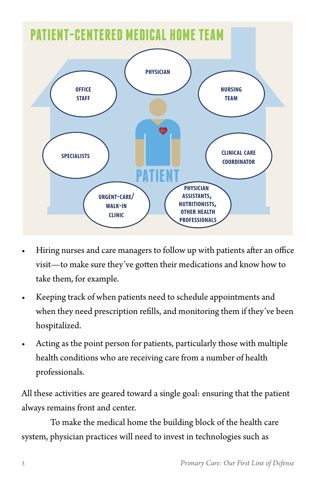

- Hiring nurses and care managers to follow up with patients after an office visit—to make sure they've gotten their medications and know how to take them, for example.
- Keeping track of when patients need to schedule appointments and when they need prescription refills, and monitoring them if they've been hospitalized.
- Acting as the point person for patients, particularly those with multiple health conditions who are receiving care from a number of health professionals.

All these activities are geared toward a single goal: ensuring that the patient always remains front and center.

To make the medical home the building block of the health care system, physician practices will need to invest in technologies such as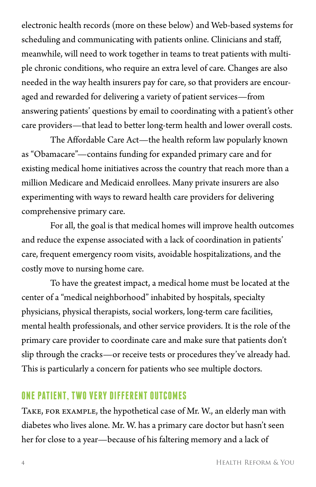electronic health records (more on these below) and Web-based systems for scheduling and communicating with patients online. Clinicians and staff, meanwhile, will need to work together in teams to treat patients with multiple chronic conditions, who require an extra level of care. Changes are also needed in the way health insurers pay for care, so that providers are encouraged and rewarded for delivering a variety of patient services—from answering patients' questions by email to coordinating with a patient's other care providers—that lead to better long-term health and lower overall costs.

The Affordable Care Act—the health reform law popularly known as "Obamacare"—contains funding for expanded primary care and for existing medical home initiatives across the country that reach more than a million Medicare and Medicaid enrollees. Many private insurers are also experimenting with ways to reward health care providers for delivering comprehensive primary care.

For all, the goal is that medical homes will improve health outcomes and reduce the expense associated with a lack of coordination in patients' care, frequent emergency room visits, avoidable hospitalizations, and the costly move to nursing home care.

To have the greatest impact, a medical home must be located at the center of a "medical neighborhood" inhabited by hospitals, specialty physicians, physical therapists, social workers, long-term care facilities, mental health professionals, and other service providers. It is the role of the primary care provider to coordinate care and make sure that patients don't slip through the cracks—or receive tests or procedures they've already had. This is particularly a concern for patients who see multiple doctors.

#### **ONE PATIENT, TWO VERY DIFFERENT OUTCOMES**

Take, for example, the hypothetical case of Mr. W., an elderly man with diabetes who lives alone. Mr. W. has a primary care doctor but hasn't seen her for close to a year—because of his faltering memory and a lack of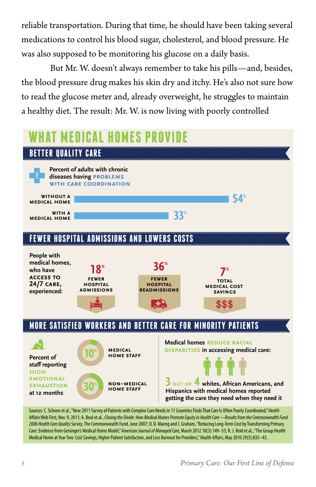reliable transportation. During that time, he should have been taking several medications to control his blood sugar, cholesterol, and blood pressure. He was also supposed to be monitoring his glucose on a daily basis.

But Mr. W. doesn't always remember to take his pills—and, besides, the blood pressure drug makes his skin dry and itchy. He's also not sure how to read the glucose meter and, already overweight, he struggles to maintain a healthy diet. The result: Mr. W. is now living with poorly controlled



Affairs Web First, Nov. 9, 2011; A. Beal et al., Closing the Divide: How Medical Homes Promote Equity in Health Care—Results from the Commonwealth Fund 2006 Health Care Quality Survey, The Commonwealth Fund, June 2007; D. D. Maeng and J. Graham, "Reducing Long-Term Cost by Transforming Primary Care: Evidence from Geisinger's Medical Home Model," American Journal of Managed Care, March 2012 18(3):149-55; R. J. Reid et al., "The Group Health Medical Home at Year Two: Cost Savings, Higher Patient Satisfaction, and Less Burnout for Providers,"Health Affairs, May 2010 29(5):835–43.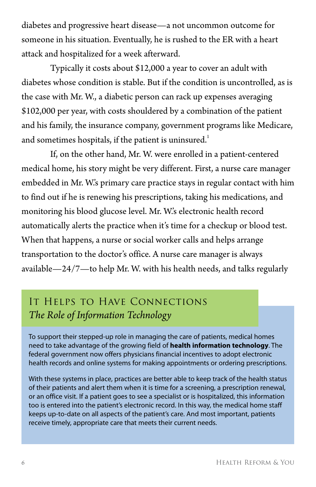diabetes and progressive heart disease—a not uncommon outcome for someone in his situation. Eventually, he is rushed to the ER with a heart attack and hospitalized for a week afterward.

Typically it costs about \$12,000 a year to cover an adult with diabetes whose condition is stable. But if the condition is uncontrolled, as is the case with Mr. W., a diabetic person can rack up expenses averaging \$102,000 per year, with costs shouldered by a combination of the patient and his family, the insurance company, government programs like Medicare, and sometimes hospitals, if the patient is uninsured.<sup>1</sup>

If, on the other hand, Mr. W. were enrolled in a patient-centered medical home, his story might be very different. First, a nurse care manager embedded in Mr. W.'s primary care practice stays in regular contact with him to find out if he is renewing his prescriptions, taking his medications, and monitoring his blood glucose level. Mr. W.'s electronic health record automatically alerts the practice when it's time for a checkup or blood test. When that happens, a nurse or social worker calls and helps arrange transportation to the doctor's office. A nurse care manager is always available—24/7—to help Mr. W. with his health needs, and talks regularly

### It Helps to Have Connections *The Role of Information Technology*

To support their stepped-up role in managing the care of patients, medical homes need to take advantage of the growing field of **health information technology**. The federal government now offers physicians financial incentives to adopt electronic health records and online systems for making appointments or ordering prescriptions.

With these systems in place, practices are better able to keep track of the health status of their patients and alert them when it is time for a screening, a prescription renewal, or an office visit. If a patient goes to see a specialist or is hospitalized, this information too is entered into the patient's electronic record. In this way, the medical home staff keeps up-to-date on all aspects of the patient's care. And most important, patients receive timely, appropriate care that meets their current needs.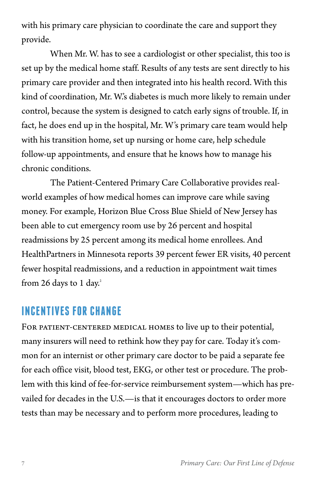with his primary care physician to coordinate the care and support they provide.

When Mr. W. has to see a cardiologist or other specialist, this too is set up by the medical home staff. Results of any tests are sent directly to his primary care provider and then integrated into his health record. With this kind of coordination, Mr. W.'s diabetes is much more likely to remain under control, because the system is designed to catch early signs of trouble. If, in fact, he does end up in the hospital, Mr. W's primary care team would help with his transition home, set up nursing or home care, help schedule follow-up appointments, and ensure that he knows how to manage his chronic conditions.

The Patient-Centered Primary Care Collaborative provides realworld examples of how medical homes can improve care while saving money. For example, Horizon Blue Cross Blue Shield of New Jersey has been able to cut emergency room use by 26 percent and hospital readmissions by 25 percent among its medical home enrollees. And HealthPartners in Minnesota reports 39 percent fewer ER visits, 40 percent fewer hospital readmissions, and a reduction in appointment wait times from 26 days to 1 day.<sup>2</sup>

## **INCENTIVES FOR CHANGE**

FOR PATIENT-CENTERED MEDICAL HOMES to live up to their potential, many insurers will need to rethink how they pay for care. Today it's common for an internist or other primary care doctor to be paid a separate fee for each office visit, blood test, EKG, or other test or procedure. The problem with this kind of fee-for-service reimbursement system—which has prevailed for decades in the U.S.—is that it encourages doctors to order more tests than may be necessary and to perform more procedures, leading to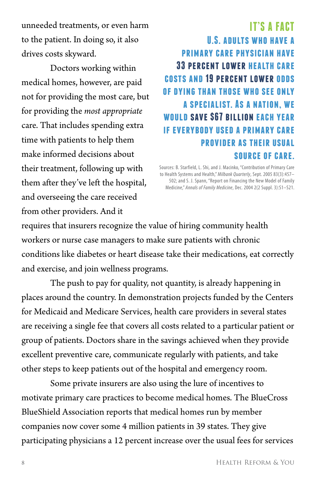unneeded treatments, or even harm to the patient. In doing so, it also drives costs skyward.

Doctors working within medical homes, however, are paid not for providing the most care, but for providing the *most appropriate* care. That includes spending extra time with patients to help them make informed decisions about their treatment, following up with them after they've left the hospital, and overseeing the care received from other providers. And it

## **IT'S A FACT U.S. adults who have a primary care physician have 33 percent lower health care costs and 19 percent lower odds of dying than those who see only a specialist. As a nation, we would save \$67 billion each year if everybody used a primary care provider as their usual source of care.**

Sources: B. Starfield, L. Shi, and J. Macinko, "Contribution of Primary Care to Health Systems and Health," *Milbank Quarterly*, Sept. 2005 83(3):457– 502; and S. J. Spann, "Report on Financing the New Model of Family Medicine," *Annals of Family Medicine*, Dec. 2004 2(2 Suppl. 3):S1–S21.

requires that insurers recognize the value of hiring community health workers or nurse case managers to make sure patients with chronic conditions like diabetes or heart disease take their medications, eat correctly and exercise, and join wellness programs.

The push to pay for quality, not quantity, is already happening in places around the country. In demonstration projects funded by the Centers for Medicaid and Medicare Services, health care providers in several states are receiving a single fee that covers all costs related to a particular patient or group of patients. Doctors share in the savings achieved when they provide excellent preventive care, communicate regularly with patients, and take other steps to keep patients out of the hospital and emergency room.

Some private insurers are also using the lure of incentives to motivate primary care practices to become medical homes. The BlueCross BlueShield Association reports that medical homes run by member companies now cover some 4 million patients in 39 states. They give participating physicians a 12 percent increase over the usual fees for services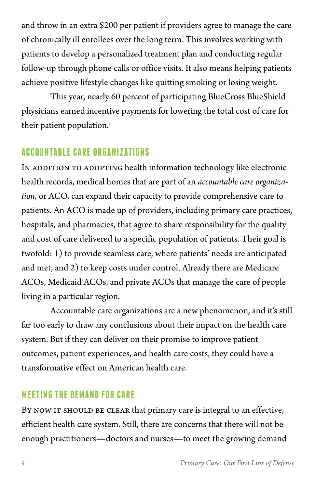and throw in an extra \$200 per patient if providers agree to manage the care of chronically ill enrollees over the long term. This involves working with patients to develop a personalized treatment plan and conducting regular follow-up through phone calls or office visits. It also means helping patients achieve positive lifestyle changes like quitting smoking or losing weight.

This year, nearly 60 percent of participating BlueCross BlueShield physicians earned incentive payments for lowering the total cost of care for their patient population.<sup>3</sup>

#### **ACCOUNTABLE CARE ORGANIZATIONS**

IN ADDITION TO ADOPTING health information technology like electronic health records, medical homes that are part of an *accountable care organization,* or ACO, can expand their capacity to provide comprehensive care to patients*.* An ACO is made up of providers, including primary care practices, hospitals, and pharmacies, that agree to share responsibility for the quality and cost of care delivered to a specific population of patients. Their goal is twofold: 1) to provide seamless care, where patients' needs are anticipated and met, and 2) to keep costs under control. Already there are Medicare ACOs, Medicaid ACOs, and private ACOs that manage the care of people living in a particular region.

Accountable care organizations are a new phenomenon, and it's still far too early to draw any conclusions about their impact on the health care system. But if they can deliver on their promise to improve patient outcomes, patient experiences, and health care costs, they could have a transformative effect on American health care.

#### **MEETING THE DEMAND FOR CARE**

BY NOW IT SHOULD BE CLEAR that primary care is integral to an effective, efficient health care system. Still, there are concerns that there will not be enough practitioners—doctors and nurses—to meet the growing demand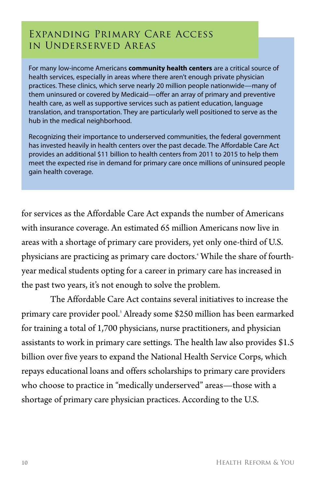#### Expanding Primary Care Access in Underserved Areas

For many low-income Americans **community health centers** are a critical source of health services, especially in areas where there aren't enough private physician practices. These clinics, which serve nearly 20 million people nationwide—many of them uninsured or covered by Medicaid—offer an array of primary and preventive health care, as well as supportive services such as patient education, language translation, and transportation. They are particularly well positioned to serve as the hub in the medical neighborhood.

Recognizing their importance to underserved communities, the federal government has invested heavily in health centers over the past decade. The Affordable Care Act provides an additional \$11 billion to health centers from 2011 to 2015 to help them meet the expected rise in demand for primary care once millions of uninsured people gain health coverage.

for services as the Affordable Care Act expands the number of Americans with insurance coverage. An estimated 65 million Americans now live in areas with a shortage of primary care providers, yet only one-third of U.S. physicians are practicing as primary care doctors.4 While the share of fourthyear medical students opting for a career in primary care has increased in the past two years, it's not enough to solve the problem.

The Affordable Care Act contains several initiatives to increase the primary care provider pool.5 Already some \$250 million has been earmarked for training a total of 1,700 physicians, nurse practitioners, and physician assistants to work in primary care settings. The health law also provides \$1.5 billion over five years to expand the National Health Service Corps, which repays educational loans and offers scholarships to primary care providers who choose to practice in "medically underserved" areas—those with a shortage of primary care physician practices. According to the U.S.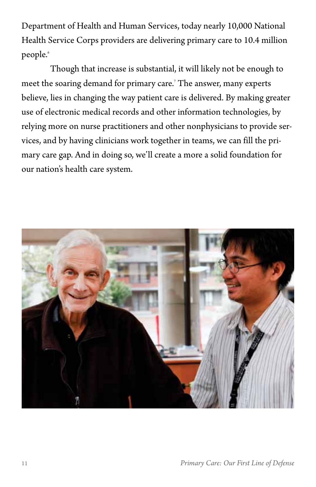Department of Health and Human Services, today nearly 10,000 National Health Service Corps providers are delivering primary care to 10.4 million people.6

Though that increase is substantial, it will likely not be enough to meet the soaring demand for primary care.7 The answer, many experts believe, lies in changing the way patient care is delivered. By making greater use of electronic medical records and other information technologies, by relying more on nurse practitioners and other nonphysicians to provide services, and by having clinicians work together in teams, we can fill the primary care gap. And in doing so, we'll create a more a solid foundation for our nation's health care system.